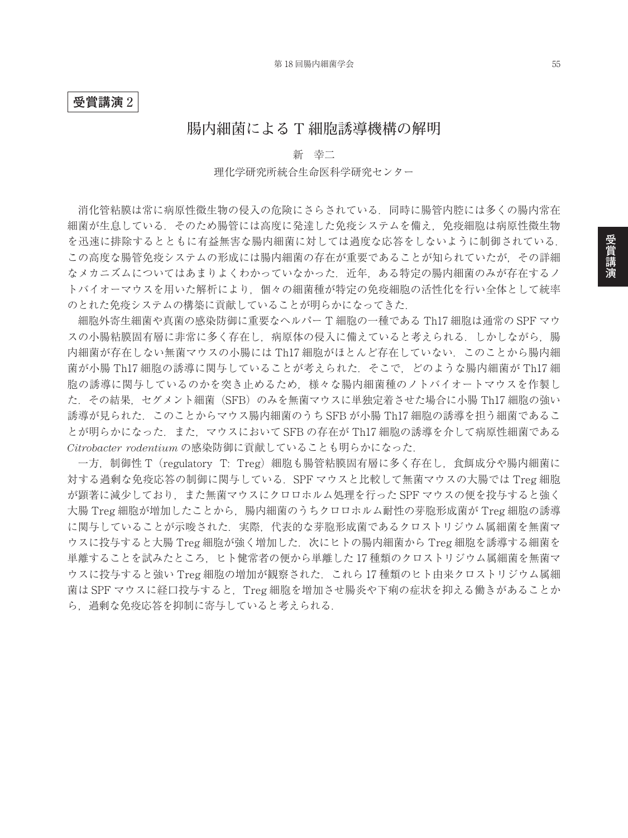### **受賞講演** 2

## **腸内細菌による T 細胞誘導機構の解明**

## 新 幸二 理化学研究所統合生命医科学研究センター

消化管粘膜は常に病原性微生物の侵入の危険にさらされている.同時に腸管内腔には多くの腸内常在 細菌が生息している. そのため腸管には高度に発達した免疫システムを備え. 免疫細胞は病原性微生物 を迅速に排除するとともに有益無害な腸内細菌に対しては過度な応答をしないように制御されている. この高度な腸管免疫システムの形成には腸内細菌の存在が重要であることが知られていたが,その詳細 なメカニズムについてはあまりよくわかっていなかった.近年,ある特定の腸内細菌のみが存在するノ トバイオーマウスを用いた解析により,個々の細菌種が特定の免疫細胞の活性化を行い全体として統率 のとれた免疫システムの構築に貢献していることが明らかになってきた.

細胞外寄生細菌や真菌の感染防御に重要なヘルパー T 細胞の一種である Th17 細胞は通常の SPF マウ スの小腸粘膜固有層に非常に多く存在し、病原体の侵入に備えていると考えられる.しかしながら,腸 内細菌が存在しない無菌マウスの小腸には Th17 細胞がほとんど存在していない. このことから腸内細 菌が小腸 Th17 細胞の誘導に関与していることが考えられた. そこで、どのような腸内細菌が Th17 細 胞の誘導に関与しているのかを突き止めるため,様々な腸内細菌種のノトバイオートマウスを作製し た. その結果. セグメント細菌 (SFB) のみを無菌マウスに単独定着させた場合に小腸 Th17 細胞の強い 誘導が見られた.このことからマウス腸内細菌のうち SFB が小腸 Th17 細胞の誘導を担う細菌であるこ とが明らかになった.また,マウスにおいて SFB の存在が Th17 細胞の誘導を介して病原性細菌である *Citrobacter rodentium* の感染防御に貢献していることも明らかになった.

一方,制御性 T(regulatory T: Treg)細胞も腸管粘膜固有層に多く存在し,食餌成分や腸内細菌に 対する過剰な免疫応答の制御に関与している.SPF マウスと比較して無菌マウスの大腸では Treg 細胞 が顕著に減少しており,また無菌マウスにクロロホルム処理を行った SPF マウスの便を投与すると強く 大腸 Treg 細胞が増加したことから, 腸内細菌のうちクロロホルム耐性の芽胞形成菌が Treg 細胞の誘導 に関与していることが示唆された.実際,代表的な芽胞形成菌であるクロストリジウム属細菌を無菌マ ウスに投与すると大腸 Treg 細胞が強く増加した. 次にヒトの腸内細菌から Treg 細胞を誘導する細菌を 単離することを試みたところ,ヒト健常者の便から単離した 17 種類のクロストリジウム属細菌を無菌マ ウスに投与すると強い Treg 細胞の増加が観察された. これら 17 種類のヒト由来クロストリジウム属細 菌は SPF マウスに経口投与すると、Treg 細胞を増加させ腸炎や下痢の症状を抑える働きがあることか ら,過剰な免疫応答を抑制に寄与していると考えられる.